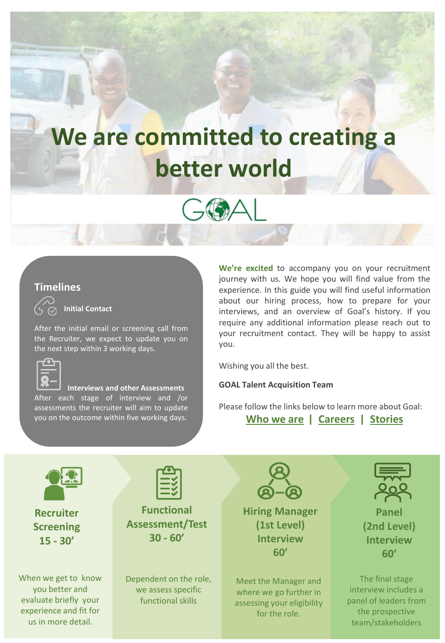# **We are committed to creating a better world**



#### **Timelines**



**Initial Contact**

After the initial email or screening call from the Recruiter, we expect to update you on the next step within 3 working days.



**Interviews and other Assessments**  After each stage of interview and /or assessments the recruiter will aim to update you on the outcome within five working days.

**We're excited** to accompany you on your recruitment journey with us. We hope you will find value from the experience. In this guide you will find useful information about our hiring process, how to prepare for your interviews, and an overview of Goal's history. If you require any additional information please reach out to your recruitment contact. They will be happy to assist you.

Wishing you all the best.

**GOAL Talent Acquisition Team**

Please follow the links below to learn more about Goal:

**[Who we are](https://www.goalglobal.org/who-we-are/) | [Careers](https://www.goalglobal.org/careers/) | [Stories](https://www.goalglobal.org/stories/)**